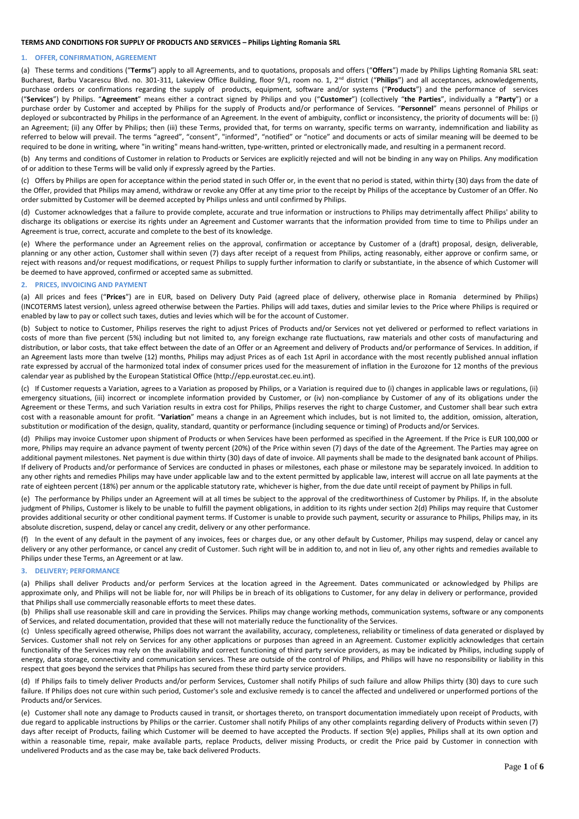# **TERMS AND CONDITIONS FOR SUPPLY OF PRODUCTS AND SERVICES – Philips Lighting Romania SRL**

# **1. OFFER, CONFIRMATION, AGREEMENT**

(a) These terms and conditions ("**Terms**") apply to all Agreements, and to quotations, proposals and offers ("**Offers**") made by Philips Lighting Romania SRL seat: Bucharest, Barbu Vacarescu Blvd. no. 301-311, Lakeview Office Building, floor 9/1, room no. 1, 2<sup>nd</sup> district ("Philips") and all acceptances, acknowledgements, purchase orders or confirmations regarding the supply of products, equipment, software and/or systems ("**Products**") and the performance of services ("**Services**") by Philips. "**Agreement**" means either a contract signed by Philips and you ("**Customer**") (collectively "**the Parties**", individually a "**Party**") or a purchase order by Customer and accepted by Philips for the supply of Products and/or performance of Services. "**Personnel**" means personnel of Philips or deployed or subcontracted by Philips in the performance of an Agreement. In the event of ambiguity, conflict or inconsistency, the priority of documents will be: (i) an Agreement; (ii) any Offer by Philips; then (iii) these Terms, provided that, for terms on warranty, specific terms on warranty, indemnification and liability as referred to below will prevail. The terms "agreed", "consent", "informed", "notified" or "notice" and documents or acts of similar meaning will be deemed to be required to be done in writing, where "in writing" means hand-written, type-written, printed or electronically made, and resulting in a permanent record.

(b) Any terms and conditions of Customer in relation to Products or Services are explicitly rejected and will not be binding in any way on Philips. Any modification of or addition to these Terms will be valid only if expressly agreed by the Parties.

(c) Offers by Philips are open for acceptance within the period stated in such Offer or, in the event that no period is stated, within thirty (30) days from the date of the Offer, provided that Philips may amend, withdraw or revoke any Offer at any time prior to the receipt by Philips of the acceptance by Customer of an Offer. No order submitted by Customer will be deemed accepted by Philips unless and until confirmed by Philips.

(d) Customer acknowledges that a failure to provide complete, accurate and true information or instructions to Philips may detrimentally affect Philips' ability to discharge its obligations or exercise its rights under an Agreement and Customer warrants that the information provided from time to time to Philips under an Agreement is true, correct, accurate and complete to the best of its knowledge.

(e) Where the performance under an Agreement relies on the approval, confirmation or acceptance by Customer of a (draft) proposal, design, deliverable, planning or any other action, Customer shall within seven (7) days after receipt of a request from Philips, acting reasonably, either approve or confirm same, or reject with reasons and/or request modifications, or request Philips to supply further information to clarify or substantiate, in the absence of which Customer will be deemed to have approved, confirmed or accepted same as submitted.

# **2. PRICES, INVOICING AND PAYMENT**

(a) All prices and fees ("**Prices**") are in EUR, based on Delivery Duty Paid (agreed place of delivery, otherwise place in Romania determined by Philips) (INCOTERMS latest version), unless agreed otherwise between the Parties. Philips will add taxes, duties and similar levies to the Price where Philips is required or enabled by law to pay or collect such taxes, duties and levies which will be for the account of Customer.

(b) Subject to notice to Customer, Philips reserves the right to adjust Prices of Products and/or Services not yet delivered or performed to reflect variations in costs of more than five percent (5%) including but not limited to, any foreign exchange rate fluctuations, raw materials and other costs of manufacturing and distribution, or labor costs, that take effect between the date of an Offer or an Agreement and delivery of Products and/or performance of Services. In addition, if an Agreement lasts more than twelve (12) months, Philips may adjust Prices as of each 1st April in accordance with the most recently published annual inflation rate expressed by accrual of the harmonized total index of consumer prices used for the measurement of inflation in the Eurozone for 12 months of the previous calendar year as published by the European Statistical Office (http://epp.eurostat.cec.eu.int).

(c) If Customer requests a Variation, agrees to a Variation as proposed by Philips, or a Variation is required due to (i) changes in applicable laws or regulations, (ii) emergency situations, (iii) incorrect or incomplete information provided by Customer, or (iv) non-compliance by Customer of any of its obligations under the Agreement or these Terms, and such Variation results in extra cost for Philips, Philips reserves the right to charge Customer, and Customer shall bear such extra cost with a reasonable amount for profit. "**Variation**" means a change in an Agreement which includes, but is not limited to, the addition, omission, alteration, substitution or modification of the design, quality, standard, quantity or performance (including sequence or timing) of Products and/or Services.

(d) Philips may invoice Customer upon shipment of Products or when Services have been performed as specified in the Agreement. If the Price is EUR 100,000 or more, Philips may require an advance payment of twenty percent (20%) of the Price within seven (7) days of the date of the Agreement. The Parties may agree on additional payment milestones. Net payment is due within thirty (30) days of date of invoice. All payments shall be made to the designated bank account of Philips. If delivery of Products and/or performance of Services are conducted in phases or milestones, each phase or milestone may be separately invoiced. In addition to any other rights and remedies Philips may have under applicable law and to the extent permitted by applicable law, interest will accrue on all late payments at the rate of eighteen percent (18%) per annum or the applicable statutory rate, whichever is higher, from the due date until receipt of payment by Philips in full.

(e) The performance by Philips under an Agreement will at all times be subject to the approval of the creditworthiness of Customer by Philips. If, in the absolute judgment of Philips, Customer is likely to be unable to fulfill the payment obligations, in addition to its rights under section 2(d) Philips may require that Customer provides additional security or other conditional payment terms. If Customer is unable to provide such payment, security or assurance to Philips, Philips may, in its absolute discretion, suspend, delay or cancel any credit, delivery or any other performance.

(f) In the event of any default in the payment of any invoices, fees or charges due, or any other default by Customer, Philips may suspend, delay or cancel any delivery or any other performance, or cancel any credit of Customer. Such right will be in addition to, and not in lieu of, any other rights and remedies available to Philips under these Terms, an Agreement or at law.

# **3. DELIVERY; PERFORMANCE**

(a) Philips shall deliver Products and/or perform Services at the location agreed in the Agreement. Dates communicated or acknowledged by Philips are approximate only, and Philips will not be liable for, nor will Philips be in breach of its obligations to Customer, for any delay in delivery or performance, provided that Philips shall use commercially reasonable efforts to meet these dates.

(b) Philips shall use reasonable skill and care in providing the Services. Philips may change working methods, communication systems, software or any components of Services, and related documentation, provided that these will not materially reduce the functionality of the Services.

(c) Unless specifically agreed otherwise, Philips does not warrant the availability, accuracy, completeness, reliability or timeliness of data generated or displayed by Services. Customer shall not rely on Services for any other applications or purposes than agreed in an Agreement. Customer explicitly acknowledges that certain functionality of the Services may rely on the availability and correct functioning of third party service providers, as may be indicated by Philips, including supply of energy, data storage, connectivity and communication services. These are outside of the control of Philips, and Philips will have no responsibility or liability in this respect that goes beyond the services that Philips has secured from these third party service providers.

(d) If Philips fails to timely deliver Products and/or perform Services, Customer shall notify Philips of such failure and allow Philips thirty (30) days to cure such failure. If Philips does not cure within such period, Customer's sole and exclusive remedy is to cancel the affected and undelivered or unperformed portions of the Products and/or Services.

(e) Customer shall note any damage to Products caused in transit, or shortages thereto, on transport documentation immediately upon receipt of Products, with due regard to applicable instructions by Philips or the carrier. Customer shall notify Philips of any other complaints regarding delivery of Products within seven (7) days after receipt of Products, failing which Customer will be deemed to have accepted the Products. If section [9](#page-2-0)[\(e\)](#page-2-1) applies, Philips shall at its own option and within a reasonable time, repair, make available parts, replace Products, deliver missing Products, or credit the Price paid by Customer in connection with undelivered Products and as the case may be, take back delivered Products.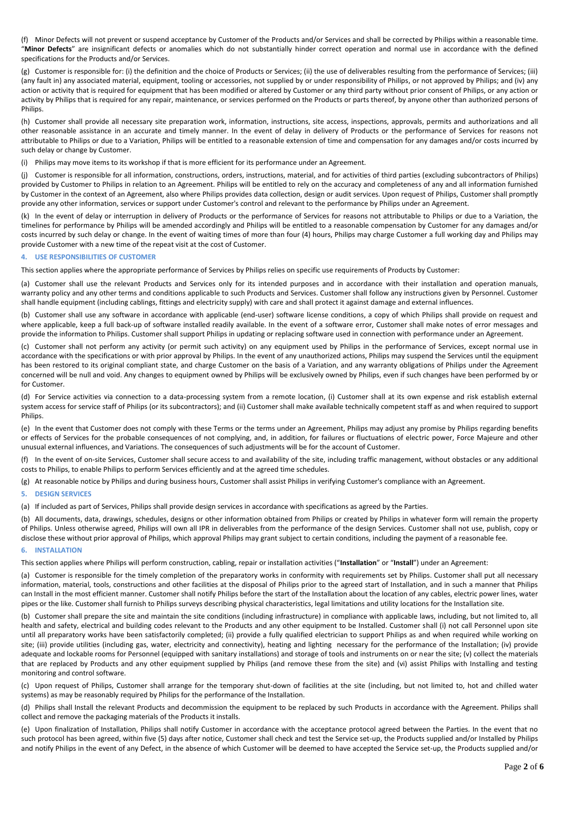(f) Minor Defects will not prevent or suspend acceptance by Customer of the Products and/or Services and shall be corrected by Philips within a reasonable time. "**Minor Defects**" are insignificant defects or anomalies which do not substantially hinder correct operation and normal use in accordance with the defined specifications for the Products and/or Services.

(g) Customer is responsible for: (i) the definition and the choice of Products or Services; (ii) the use of deliverables resulting from the performance of Services; (iii) (any fault in) any associated material, equipment, tooling or accessories, not supplied by or under responsibility of Philips, or not approved by Philips; and (iv) any action or activity that is required for equipment that has been modified or altered by Customer or any third party without prior consent of Philips, or any action or activity by Philips that is required for any repair, maintenance, or services performed on the Products or parts thereof, by anyone other than authorized persons of Philips.

(h) Customer shall provide all necessary site preparation work, information, instructions, site access, inspections, approvals, permits and authorizations and all other reasonable assistance in an accurate and timely manner. In the event of delay in delivery of Products or the performance of Services for reasons not attributable to Philips or due to a Variation, Philips will be entitled to a reasonable extension of time and compensation for any damages and/or costs incurred by such delay or change by Customer.

(i) Philips may move items to its workshop if that is more efficient for its performance under an Agreement.

(j) Customer is responsible for all information, constructions, orders, instructions, material, and for activities of third parties (excluding subcontractors of Philips) provided by Customer to Philips in relation to an Agreement. Philips will be entitled to rely on the accuracy and completeness of any and all information furnished by Customer in the context of an Agreement, also where Philips provides data collection, design or audit services. Upon request of Philips, Customer shall promptly provide any other information, services or support under Customer's control and relevant to the performance by Philips under an Agreement.

(k) In the event of delay or interruption in delivery of Products or the performance of Services for reasons not attributable to Philips or due to a Variation, the timelines for performance by Philips will be amended accordingly and Philips will be entitled to a reasonable compensation by Customer for any damages and/or costs incurred by such delay or change. In the event of waiting times of more than four (4) hours, Philips may charge Customer a full working day and Philips may provide Customer with a new time of the repeat visit at the cost of Customer.

# **4. USE RESPONSIBILITIES OF CUSTOMER**

This section applies where the appropriate performance of Services by Philips relies on specific use requirements of Products by Customer:

(a) Customer shall use the relevant Products and Services only for its intended purposes and in accordance with their installation and operation manuals, warranty policy and any other terms and conditions applicable to such Products and Services. Customer shall follow any instructions given by Personnel. Customer shall handle equipment (including cablings, fittings and electricity supply) with care and shall protect it against damage and external influences.

(b) Customer shall use any software in accordance with applicable (end-user) software license conditions, a copy of which Philips shall provide on request and where applicable, keep a full back-up of software installed readily available. In the event of a software error, Customer shall make notes of error messages and provide the information to Philips. Customer shall support Philips in updating or replacing software used in connection with performance under an Agreement.

(c) Customer shall not perform any activity (or permit such activity) on any equipment used by Philips in the performance of Services, except normal use in accordance with the specifications or with prior approval by Philips. In the event of any unauthorized actions, Philips may suspend the Services until the equipment has been restored to its original compliant state, and charge Customer on the basis of a Variation, and any warranty obligations of Philips under the Agreement concerned will be null and void. Any changes to equipment owned by Philips will be exclusively owned by Philips, even if such changes have been performed by or for Customer.

(d) For Service activities via connection to a data-processing system from a remote location, (i) Customer shall at its own expense and risk establish external system access for service staff of Philips (or its subcontractors); and (ii) Customer shall make available technically competent staff as and when required to support Philips.

(e) In the event that Customer does not comply with these Terms or the terms under an Agreement, Philips may adjust any promise by Philips regarding benefits or effects of Services for the probable consequences of not complying, and, in addition, for failures or fluctuations of electric power, Force Majeure and other unusual external influences, and Variations. The consequences of such adjustments will be for the account of Customer.

(f) In the event of on-site Services, Customer shall secure access to and availability of the site, including traffic management, without obstacles or any additional costs to Philips, to enable Philips to perform Services efficiently and at the agreed time schedules.

(g) At reasonable notice by Philips and during business hours, Customer shall assist Philips in verifying Customer's compliance with an Agreement.

# **5. DESIGN SERVICES**

(a) If included as part of Services, Philips shall provide design services in accordance with specifications as agreed by the Parties.

(b) All documents, data, drawings, schedules, designs or other information obtained from Philips or created by Philips in whatever form will remain the property of Philips. Unless otherwise agreed, Philips will own all IPR in deliverables from the performance of the design Services. Customer shall not use, publish, copy or disclose these without prior approval of Philips, which approval Philips may grant subject to certain conditions, including the payment of a reasonable fee.

## **6. INSTALLATION**

This section applies where Philips will perform construction, cabling, repair or installation activities ("**Installation**" or "**Install**") under an Agreement:

(a) Customer is responsible for the timely completion of the preparatory works in conformity with requirements set by Philips. Customer shall put all necessary information, material, tools, constructions and other facilities at the disposal of Philips prior to the agreed start of Installation, and in such a manner that Philips can Install in the most efficient manner. Customer shall notify Philips before the start of the Installation about the location of any cables, electric power lines, water pipes or the like. Customer shall furnish to Philips surveys describing physical characteristics, legal limitations and utility locations for the Installation site.

(b) Customer shall prepare the site and maintain the site conditions (including infrastructure) in compliance with applicable laws, including, but not limited to, all health and safety, electrical and building codes relevant to the Products and any other equipment to be Installed. Customer shall (i) not call Personnel upon site until all preparatory works have been satisfactorily completed; (ii) provide a fully qualified electrician to support Philips as and when required while working on site; (iii) provide utilities (including gas, water, electricity and connectivity), heating and lighting necessary for the performance of the Installation; (iv) provide adequate and lockable rooms for Personnel (equipped with sanitary installations) and storage of tools and instruments on or near the site; (v) collect the materials that are replaced by Products and any other equipment supplied by Philips (and remove these from the site) and (vi) assist Philips with Installing and testing monitoring and control software.

(c) Upon request of Philips, Customer shall arrange for the temporary shut-down of facilities at the site (including, but not limited to, hot and chilled water systems) as may be reasonably required by Philips for the performance of the Installation.

(d) Philips shall Install the relevant Products and decommission the equipment to be replaced by such Products in accordance with the Agreement. Philips shall collect and remove the packaging materials of the Products it installs.

(e) Upon finalization of Installation, Philips shall notify Customer in accordance with the acceptance protocol agreed between the Parties. In the event that no such protocol has been agreed, within five (5) days after notice, Customer shall check and test the Service set-up, the Products supplied and/or Installed by Philips and notify Philips in the event of any Defect, in the absence of which Customer will be deemed to have accepted the Service set-up, the Products supplied and/or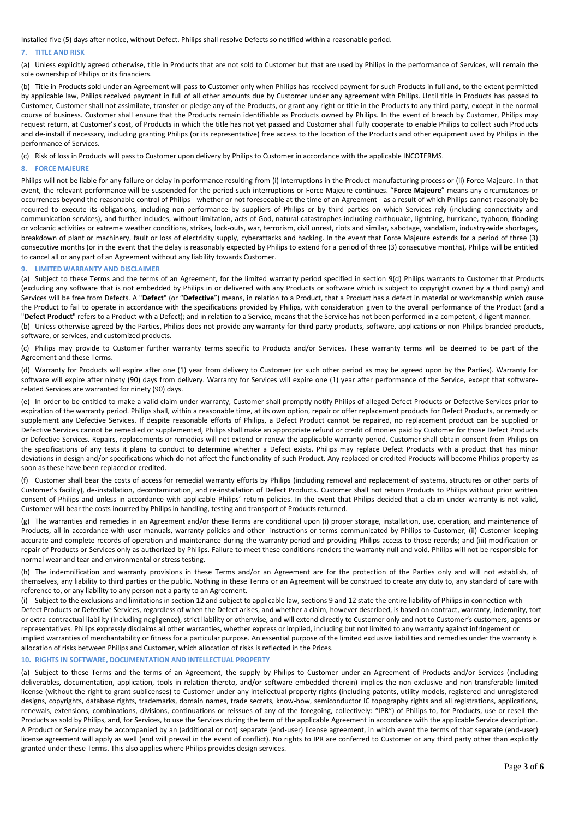Installed five (5) days after notice, without Defect. Philips shall resolve Defects so notified within a reasonable period.

# **7. TITLE AND RISK**

(a) Unless explicitly agreed otherwise, title in Products that are not sold to Customer but that are used by Philips in the performance of Services, will remain the sole ownership of Philips or its financiers.

(b) Title in Products sold under an Agreement will pass to Customer only when Philips has received payment for such Products in full and, to the extent permitted by applicable law, Philips received payment in full of all other amounts due by Customer under any agreement with Philips. Until title in Products has passed to Customer, Customer shall not assimilate, transfer or pledge any of the Products, or grant any right or title in the Products to any third party, except in the normal course of business. Customer shall ensure that the Products remain identifiable as Products owned by Philips. In the event of breach by Customer, Philips may request return, at Customer's cost, of Products in which the title has not yet passed and Customer shall fully cooperate to enable Philips to collect such Products and de-install if necessary, including granting Philips (or its representative) free access to the location of the Products and other equipment used by Philips in the performance of Services.

(c) Risk of loss in Products will pass to Customer upon delivery by Philips to Customer in accordance with the applicable INCOTERMS.

# **8. FORCE MAJEURE**

Philips will not be liable for any failure or delay in performance resulting from (i) interruptions in the Product manufacturing process or (ii) Force Majeure. In that event, the relevant performance will be suspended for the period such interruptions or Force Majeure continues. "**Force Majeure**" means any circumstances or occurrences beyond the reasonable control of Philips - whether or not foreseeable at the time of an Agreement - as a result of which Philips cannot reasonably be required to execute its obligations, including non-performance by suppliers of Philips or by third parties on which Services rely (including connectivity and communication services), and further includes, without limitation, acts of God, natural catastrophes including earthquake, lightning, hurricane, typhoon, flooding or volcanic activities or extreme weather conditions, strikes, lock-outs, war, terrorism, civil unrest, riots and similar, sabotage, vandalism, industry-wide shortages, breakdown of plant or machinery, fault or loss of electricity supply, cyberattacks and hacking. In the event that Force Majeure extends for a period of three (3) consecutive months (or in the event that the delay is reasonably expected by Philips to extend for a period of three (3) consecutive months), Philips will be entitled to cancel all or any part of an Agreement without any liability towards Customer.

### <span id="page-2-0"></span>**9. LIMITED WARRANTY AND DISCLAIMER**

(a) Subject to these Terms and the terms of an Agreement, for the limited warranty period specified in section [9](#page-2-0)[\(d\)](#page-2-2) Philips warrants to Customer that Products (excluding any software that is not embedded by Philips in or delivered with any Products or software which is subject to copyright owned by a third party) and Services will be free from Defects. A "**Defect**" (or "**Defective**") means, in relation to a Product, that a Product has a defect in material or workmanship which cause the Product to fail to operate in accordance with the specifications provided by Philips, with consideration given to the overall performance of the Product (and a "**Defect Product**" refers to a Product with a Defect); and in relation to a Service, means that the Service has not been performed in a competent, diligent manner. (b) Unless otherwise agreed by the Parties, Philips does not provide any warranty for third party products, software, applications or non-Philips branded products, software, or services, and customized products.

(c) Philips may provide to Customer further warranty terms specific to Products and/or Services. These warranty terms will be deemed to be part of the Agreement and these Terms.

<span id="page-2-2"></span>(d) Warranty for Products will expire after one (1) year from delivery to Customer (or such other period as may be agreed upon by the Parties). Warranty for software will expire after ninety (90) days from delivery. Warranty for Services will expire one (1) year after performance of the Service, except that softwarerelated Services are warranted for ninety (90) days.

<span id="page-2-1"></span>(e) In order to be entitled to make a valid claim under warranty, Customer shall promptly notify Philips of alleged Defect Products or Defective Services prior to expiration of the warranty period. Philips shall, within a reasonable time, at its own option, repair or offer replacement products for Defect Products, or remedy or supplement any Defective Services. If despite reasonable efforts of Philips, a Defect Product cannot be repaired, no replacement product can be supplied or Defective Services cannot be remedied or supplemented, Philips shall make an appropriate refund or credit of monies paid by Customer for those Defect Products or Defective Services. Repairs, replacements or remedies will not extend or renew the applicable warranty period. Customer shall obtain consent from Philips on the specifications of any tests it plans to conduct to determine whether a Defect exists. Philips may replace Defect Products with a product that has minor deviations in design and/or specifications which do not affect the functionality of such Product. Any replaced or credited Products will become Philips property as soon as these have been replaced or credited.

(f) Customer shall bear the costs of access for remedial warranty efforts by Philips (including removal and replacement of systems, structures or other parts of Customer's facility), de-installation, decontamination, and re-installation of Defect Products. Customer shall not return Products to Philips without prior written consent of Philips and unless in accordance with applicable Philips' return policies. In the event that Philips decided that a claim under warranty is not valid, Customer will bear the costs incurred by Philips in handling, testing and transport of Products returned.

(g) The warranties and remedies in an Agreement and/or these Terms are conditional upon (i) proper storage, installation, use, operation, and maintenance of Products, all in accordance with user manuals, warranty policies and other instructions or terms communicated by Philips to Customer; (ii) Customer keeping accurate and complete records of operation and maintenance during the warranty period and providing Philips access to those records; and (iii) modification or repair of Products or Services only as authorized by Philips. Failure to meet these conditions renders the warranty null and void. Philips will not be responsible for normal wear and tear and environmental or stress testing.

(h) The indemnification and warranty provisions in these Terms and/or an Agreement are for the protection of the Parties only and will not establish, of themselves, any liability to third parties or the public. Nothing in these Terms or an Agreement will be construed to create any duty to, any standard of care with reference to, or any liability to any person not a party to an Agreement.

(i) Subject to the exclusions and limitations in section [12](#page-3-0) and subject to applicable law, section[s 9](#page-2-0) an[d 12](#page-3-0) state the entire liability of Philips in connection with Defect Products or Defective Services, regardless of when the Defect arises, and whether a claim, however described, is based on contract, warranty, indemnity, tort or extra-contractual liability (including negligence), strict liability or otherwise, and will extend directly to Customer only and not to Customer's customers, agents or representatives. Philips expressly disclaims all other warranties, whether express or implied, including but not limited to any warranty against infringement or implied warranties of merchantability or fitness for a particular purpose. An essential purpose of the limited exclusive liabilities and remedies under the warranty is allocation of risks between Philips and Customer, which allocation of risks is reflected in the Prices.

# **10. RIGHTS IN SOFTWARE, DOCUMENTATION AND INTELLECTUAL PROPERT**

(a) Subject to these Terms and the terms of an Agreement, the supply by Philips to Customer under an Agreement of Products and/or Services (including deliverables, documentation, application, tools in relation thereto, and/or software embedded therein) implies the non-exclusive and non-transferable limited license (without the right to grant sublicenses) to Customer under any intellectual property rights (including patents, utility models, registered and unregistered designs, copyrights, database rights, trademarks, domain names, trade secrets, know-how, semiconductor IC topography rights and all registrations, applications, renewals, extensions, combinations, divisions, continuations or reissues of any of the foregoing, collectively: "IPR") of Philips to, for Products, use or resell the Products as sold by Philips, and, for Services, to use the Services during the term of the applicable Agreement in accordance with the applicable Service description. A Product or Service may be accompanied by an (additional or not) separate (end-user) license agreement, in which event the terms of that separate (end-user) license agreement will apply as well (and will prevail in the event of conflict). No rights to IPR are conferred to Customer or any third party other than explicitly granted under these Terms. This also applies where Philips provides design services.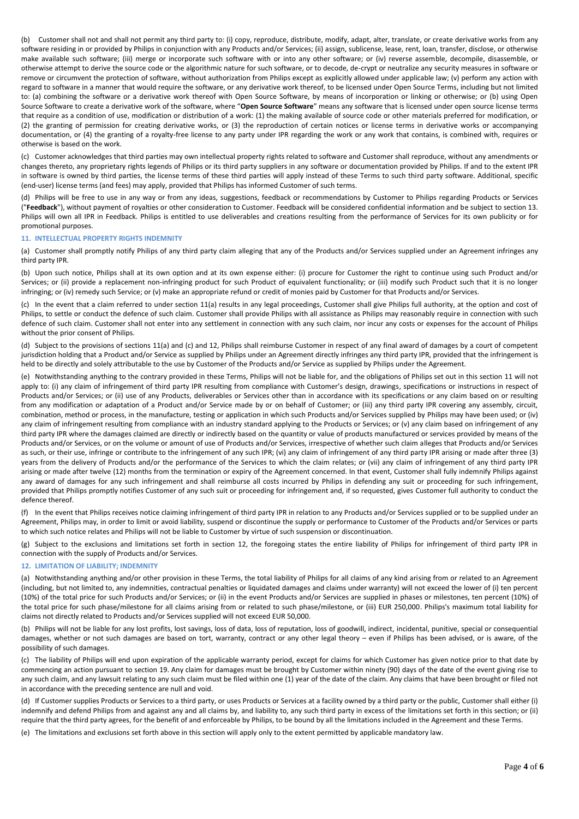(b) Customer shall not and shall not permit any third party to: (i) copy, reproduce, distribute, modify, adapt, alter, translate, or create derivative works from any software residing in or provided by Philips in conjunction with any Products and/or Services; (ii) assign, sublicense, lease, rent, loan, transfer, disclose, or otherwise make available such software; (iii) merge or incorporate such software with or into any other software; or (iv) reverse assemble, decompile, disassemble, or otherwise attempt to derive the source code or the algorithmic nature for such software, or to decode, de-crypt or neutralize any security measures in software or remove or circumvent the protection of software, without authorization from Philips except as explicitly allowed under applicable law; (v) perform any action with regard to software in a manner that would require the software, or any derivative work thereof, to be licensed under Open Source Terms, including but not limited to: (a) combining the software or a derivative work thereof with Open Source Software, by means of incorporation or linking or otherwise; or (b) using Open Source Software to create a derivative work of the software, where "**Open Source Software**" means any software that is licensed under open source license terms that require as a condition of use, modification or distribution of a work: (1) the making available of source code or other materials preferred for modification, or (2) the granting of permission for creating derivative works, or (3) the reproduction of certain notices or license terms in derivative works or accompanying documentation, or (4) the granting of a royalty-free license to any party under IPR regarding the work or any work that contains, is combined with, requires or otherwise is based on the work.

(c) Customer acknowledges that third parties may own intellectual property rights related to software and Customer shall reproduce, without any amendments or changes thereto, any proprietary rights legends of Philips or its third party suppliers in any software or documentation provided by Philips. If and to the extent IPR in software is owned by third parties, the license terms of these third parties will apply instead of these Terms to such third party software. Additional, specific (end-user) license terms (and fees) may apply, provided that Philips has informed Customer of such terms.

(d) Philips will be free to use in any way or from any ideas, suggestions, feedback or recommendations by Customer to Philips regarding Products or Services ("**Feedback**"), without payment of royalties or other consideration to Customer. Feedback will be considered confidential information and be subject to section 13. Philips will own all IPR in Feedback. Philips is entitled to use deliverables and creations resulting from the performance of Services for its own publicity or for promotional purposes.

# <span id="page-3-1"></span>**11. INTELLECTUAL PROPERTY RIGHTS INDEMNITY**

<span id="page-3-2"></span>(a) Customer shall promptly notify Philips of any third party claim alleging that any of the Products and/or Services supplied under an Agreement infringes any third party IPR.

(b) Upon such notice, Philips shall at its own option and at its own expense either: (i) procure for Customer the right to continue using such Product and/or Services; or (ii) provide a replacement non-infringing product for such Product of equivalent functionality; or (iii) modify such Product such that it is no longer infringing; or (iv) remedy such Service; or (v) make an appropriate refund or credit of monies paid by Customer for that Products and/or Services.

<span id="page-3-3"></span>(c) In the event that a claim referred to under section [11](#page-3-1)[\(a\)](#page-3-2) results in any legal proceedings, Customer shall give Philips full authority, at the option and cost of Philips, to settle or conduct the defence of such claim. Customer shall provide Philips with all assistance as Philips may reasonably require in connection with such defence of such claim. Customer shall not enter into any settlement in connection with any such claim, nor incur any costs or expenses for the account of Philips without the prior consent of Philips.

(d) Subject to the provisions of sections [11\(a](#page-3-1)) an[d \(c\)](#page-3-3) an[d 12,](#page-3-0) Philips shall reimburse Customer in respect of any final award of damages by a court of competent jurisdiction holding that a Product and/or Service as supplied by Philips under an Agreement directly infringes any third party IPR, provided that the infringement is held to be directly and solely attributable to the use by Customer of the Products and/or Service as supplied by Philips under the Agreement.

(e) Notwithstanding anything to the contrary provided in these Terms, Philips will not be liable for, and the obligations of Philips set out in this section [11](#page-3-1) will not apply to: (i) any claim of infringement of third party IPR resulting from compliance with Customer's design, drawings, specifications or instructions in respect of Products and/or Services; or (ii) use of any Products, deliverables or Services other than in accordance with its specifications or any claim based on or resulting from any modification or adaptation of a Product and/or Service made by or on behalf of Customer; or (iii) any third party IPR covering any assembly, circuit, combination, method or process, in the manufacture, testing or application in which such Products and/or Services supplied by Philips may have been used; or (iv) any claim of infringement resulting from compliance with an industry standard applying to the Products or Services; or (v) any claim based on infringement of any third party IPR where the damages claimed are directly or indirectly based on the quantity or value of products manufactured or services provided by means of the Products and/or Services, or on the volume or amount of use of Products and/or Services, irrespective of whether such claim alleges that Products and/or Services as such, or their use, infringe or contribute to the infringement of any such IPR; (vi) any claim of infringement of any third party IPR arising or made after three (3) years from the delivery of Products and/or the performance of the Services to which the claim relates; or (vii) any claim of infringement of any third party IPR arising or made after twelve (12) months from the termination or expiry of the Agreement concerned. In that event, Customer shall fully indemnify Philips against any award of damages for any such infringement and shall reimburse all costs incurred by Philips in defending any suit or proceeding for such infringement, provided that Philips promptly notifies Customer of any such suit or proceeding for infringement and, if so requested, gives Customer full authority to conduct the defence thereof.

(f) In the event that Philips receives notice claiming infringement of third party IPR in relation to any Products and/or Services supplied or to be supplied under an Agreement, Philips may, in order to limit or avoid liability, suspend or discontinue the supply or performance to Customer of the Products and/or Services or parts to which such notice relates and Philips will not be liable to Customer by virtue of such suspension or discontinuation.

(g) Subject to the exclusions and limitations set forth in section [12,](#page-3-0) the foregoing states the entire liability of Philips for infringement of third party IPR in connection with the supply of Products and/or Services.

# <span id="page-3-0"></span>**12. LIMITATION OF LIABILITY; INDEMNITY**

(a) Notwithstanding anything and/or other provision in these Terms, the total liability of Philips for all claims of any kind arising from or related to an Agreement (including, but not limited to, any indemnities, contractual penalties or liquidated damages and claims under warranty) will not exceed the lower of (i) ten percent (10%) of the total price for such Products and/or Services; or (ii) in the event Products and/or Services are supplied in phases or milestones, ten percent (10%) of the total price for such phase/milestone for all claims arising from or related to such phase/milestone, or (iii) EUR 250,000. Philips's maximum total liability for claims not directly related to Products and/or Services supplied will not exceed EUR 50,000.

(b) Philips will not be liable for any lost profits, lost savings, loss of data, loss of reputation, loss of goodwill, indirect, incidental, punitive, special or consequential damages, whether or not such damages are based on tort, warranty, contract or any other legal theory – even if Philips has been advised, or is aware, of the possibility of such damages.

(c) The liability of Philips will end upon expiration of the applicable warranty period, except for claims for which Customer has given notice prior to that date by commencing an action pursuant to section [19.](#page-5-0) Any claim for damages must be brought by Customer within ninety (90) days of the date of the event giving rise to any such claim, and any lawsuit relating to any such claim must be filed within one (1) year of the date of the claim. Any claims that have been brought or filed not in accordance with the preceding sentence are null and void.

(d) If Customer supplies Products or Services to a third party, or uses Products or Services at a facility owned by a third party or the public, Customer shall either (i) indemnify and defend Philips from and against any and all claims by, and liability to, any such third party in excess of the limitations set forth in this section; or (ii) require that the third party agrees, for the benefit of and enforceable by Philips, to be bound by all the limitations included in the Agreement and these Terms.

(e) The limitations and exclusions set forth above in this section will apply only to the extent permitted by applicable mandatory law.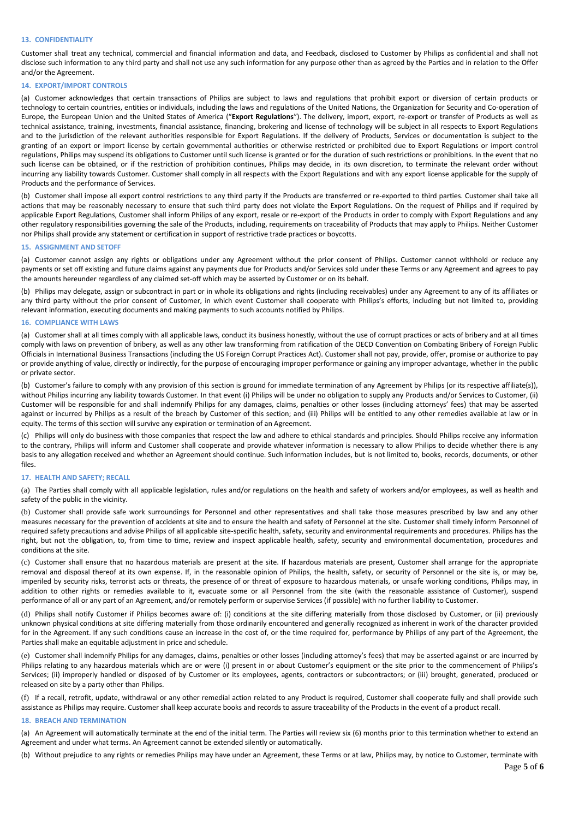# **13. CONFIDENTIALITY**

Customer shall treat any technical, commercial and financial information and data, and Feedback, disclosed to Customer by Philips as confidential and shall not disclose such information to any third party and shall not use any such information for any purpose other than as agreed by the Parties and in relation to the Offer and/or the Agreement.

#### **14. EXPORT/IMPORT CONTROLS**

(a) Customer acknowledges that certain transactions of Philips are subject to laws and regulations that prohibit export or diversion of certain products or technology to certain countries, entities or individuals, including the laws and regulations of the United Nations, the Organization for Security and Co-operation of Europe, the European Union and the United States of America ("**Export Regulations**"). The delivery, import, export, re-export or transfer of Products as well as technical assistance, training, investments, financial assistance, financing, brokering and license of technology will be subject in all respects to Export Regulations and to the jurisdiction of the relevant authorities responsible for Export Regulations. If the delivery of Products, Services or documentation is subject to the granting of an export or import license by certain governmental authorities or otherwise restricted or prohibited due to Export Regulations or import control regulations, Philips may suspend its obligations to Customer until such license is granted or for the duration of such restrictions or prohibitions. In the event that no such license can be obtained, or if the restriction of prohibition continues, Philips may decide, in its own discretion, to terminate the relevant order without incurring any liability towards Customer. Customer shall comply in all respects with the Export Regulations and with any export license applicable for the supply of Products and the performance of Services.

(b) Customer shall impose all export control restrictions to any third party if the Products are transferred or re-exported to third parties. Customer shall take all actions that may be reasonably necessary to ensure that such third party does not violate the Export Regulations. On the request of Philips and if required by applicable Export Regulations, Customer shall inform Philips of any export, resale or re-export of the Products in order to comply with Export Regulations and any other regulatory responsibilities governing the sale of the Products, including, requirements on traceability of Products that may apply to Philips. Neither Customer nor Philips shall provide any statement or certification in support of restrictive trade practices or boycotts.

#### **15. ASSIGNMENT AND SETOFF**

(a) Customer cannot assign any rights or obligations under any Agreement without the prior consent of Philips. Customer cannot withhold or reduce any payments or set off existing and future claims against any payments due for Products and/or Services sold under these Terms or any Agreement and agrees to pay the amounts hereunder regardless of any claimed set-off which may be asserted by Customer or on its behalf.

(b) Philips may delegate, assign or subcontract in part or in whole its obligations and rights (including receivables) under any Agreement to any of its affiliates or any third party without the prior consent of Customer, in which event Customer shall cooperate with Philips's efforts, including but not limited to, providing relevant information, executing documents and making payments to such accounts notified by Philips.

# **16. COMPLIANCE WITH LAWS**

(a) Customer shall at all times comply with all applicable laws, conduct its business honestly, without the use of corrupt practices or acts of bribery and at all times comply with laws on prevention of bribery, as well as any other law transforming from ratification of the OECD Convention on Combating Bribery of Foreign Public Officials in International Business Transactions (including the US Foreign Corrupt Practices Act). Customer shall not pay, provide, offer, promise or authorize to pay or provide anything of value, directly or indirectly, for the purpose of encouraging improper performance or gaining any improper advantage, whether in the public or private sector.

(b) Customer's failure to comply with any provision of this section is ground for immediate termination of any Agreement by Philips (or its respective affiliate(s)), without Philips incurring any liability towards Customer. In that event (i) Philips will be under no obligation to supply any Products and/or Services to Customer, (ii) Customer will be responsible for and shall indemnify Philips for any damages, claims, penalties or other losses (including attorneys' fees) that may be asserted against or incurred by Philips as a result of the breach by Customer of this section; and (iii) Philips will be entitled to any other remedies available at law or in equity. The terms of this section will survive any expiration or termination of an Agreement.

(c) Philips will only do business with those companies that respect the law and adhere to ethical standards and principles. Should Philips receive any information to the contrary, Philips will inform and Customer shall cooperate and provide whatever information is necessary to allow Philips to decide whether there is any basis to any allegation received and whether an Agreement should continue. Such information includes, but is not limited to, books, records, documents, or other files.

# **17. HEALTH AND SAFETY; RECALL**

(a) The Parties shall comply with all applicable legislation, rules and/or regulations on the health and safety of workers and/or employees, as well as health and safety of the public in the vicinity.

(b) Customer shall provide safe work surroundings for Personnel and other representatives and shall take those measures prescribed by law and any other measures necessary for the prevention of accidents at site and to ensure the health and safety of Personnel at the site. Customer shall timely inform Personnel of required safety precautions and advise Philips of all applicable site-specific health, safety, security and environmental requirements and procedures. Philips has the right, but not the obligation, to, from time to time, review and inspect applicable health, safety, security and environmental documentation, procedures and conditions at the site.

(c) Customer shall ensure that no hazardous materials are present at the site. If hazardous materials are present, Customer shall arrange for the appropriate removal and disposal thereof at its own expense. If, in the reasonable opinion of Philips, the health, safety, or security of Personnel or the site is, or may be, imperiled by security risks, terrorist acts or threats, the presence of or threat of exposure to hazardous materials, or unsafe working conditions, Philips may, in addition to other rights or remedies available to it, evacuate some or all Personnel from the site (with the reasonable assistance of Customer), suspend performance of all or any part of an Agreement, and/or remotely perform or supervise Services (if possible) with no further liability to Customer.

(d) Philips shall notify Customer if Philips becomes aware of: (i) conditions at the site differing materially from those disclosed by Customer, or (ii) previously unknown physical conditions at site differing materially from those ordinarily encountered and generally recognized as inherent in work of the character provided for in the Agreement. If any such conditions cause an increase in the cost of, or the time required for, performance by Philips of any part of the Agreement, the Parties shall make an equitable adjustment in price and schedule.

(e) Customer shall indemnify Philips for any damages, claims, penalties or other losses (including attorney's fees) that may be asserted against or are incurred by Philips relating to any hazardous materials which are or were (i) present in or about Customer's equipment or the site prior to the commencement of Philips's Services; (ii) improperly handled or disposed of by Customer or its employees, agents, contractors or subcontractors; or (iii) brought, generated, produced or released on site by a party other than Philips.

(f) If a recall, retrofit, update, withdrawal or any other remedial action related to any Product is required, Customer shall cooperate fully and shall provide such assistance as Philips may require. Customer shall keep accurate books and records to assure traceability of the Products in the event of a product recall.

#### **18. BREACH AND TERMINATION**

(a) An Agreement will automatically terminate at the end of the initial term. The Parties will review six (6) months prior to this termination whether to extend an Agreement and under what terms. An Agreement cannot be extended silently or automatically.

(b) Without prejudice to any rights or remedies Philips may have under an Agreement, these Terms or at law, Philips may, by notice to Customer, terminate with